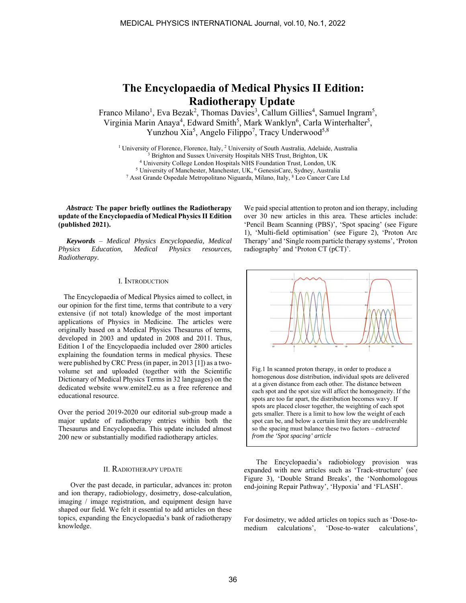# **The Encyclopaedia of Medical Physics II Edition: Radiotherapy Update**

Franco Milano<sup>1</sup>, Eva Bezak<sup>2</sup>, Thomas Davies<sup>3</sup>, Callum Gillies<sup>4</sup>, Samuel Ingram<sup>5</sup>, Virginia Marin Anaya<sup>4</sup>, Edward Smith<sup>5</sup>, Mark Wanklyn<sup>6</sup>, Carla Winterhalter<sup>5</sup>, Yunzhou Xia<sup>5</sup>, Angelo Filippo<sup>7</sup>, Tracy Underwood<sup>5,8</sup>

<sup>1</sup> University of Florence, Florence, Italy, <sup>2</sup> University of South Australia, Adelaide, Australia<br><sup>3</sup> Brighton and Sussex University Hospitals NHS Trust, Brighton, UK<br><sup>4</sup> University College London Hospitals NHS Foundati

## *Abstract:* **The paper briefly outlines the Radiotherapy update of the Encyclopaedia of Medical Physics II Edition (published 2021).**

*Keywords* – *Medical Physics Encyclopaedia, Medical Physics Education, Medical Physics resources, Radiotherapy.*

## I. INTRODUCTION

 The Encyclopaedia of Medical Physics aimed to collect, in our opinion for the first time, terms that contribute to a very extensive (if not total) knowledge of the most important applications of Physics in Medicine. The articles were originally based on a Medical Physics Thesaurus of terms, developed in 2003 and updated in 2008 and 2011. Thus, Edition I of the Encyclopaedia included over 2800 articles explaining the foundation terms in medical physics. These were published by CRC Press (in paper, in 2013 [1]) as a twovolume set and uploaded (together with the Scientific Dictionary of Medical Physics Terms in 32 languages) on the dedicated website www.emitel2.eu as a free reference and educational resource.

Over the period 2019-2020 our editorial sub-group made a major update of radiotherapy entries within both the Thesaurus and Encyclopaedia. This update included almost 200 new or substantially modified radiotherapy articles.

# II. RADIOTHERAPY UPDATE

 Over the past decade, in particular, advances in: proton and ion therapy, radiobiology, dosimetry, dose-calculation, imaging / image registration, and equipment design have shaped our field. We felt it essential to add articles on these topics, expanding the Encyclopaedia's bank of radiotherapy knowledge.

We paid special attention to proton and ion therapy, including over 30 new articles in this area. These articles include: 'Pencil Beam Scanning (PBS)', 'Spot spacing' (see Figure 1), 'Multi-field optimisation' (see Figure 2), 'Proton Arc Therapy' and 'Single room particle therapy systems', 'Proton radiography' and 'Proton CT (pCT)'.



 The Encyclopaedia's radiobiology provision was expanded with new articles such as 'Track-structure' (see Figure 3), 'Double Strand Breaks', the 'Nonhomologous end-joining Repair Pathway', 'Hypoxia' and 'FLASH'.

*from the 'Spot spacing' article*

For dosimetry, we added articles on topics such as 'Dose-tomedium calculations', 'Dose-to-water calculations',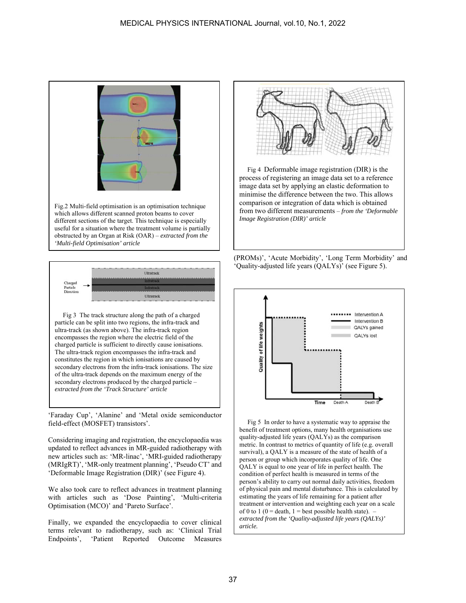

Fig.2 Multi-field optimisation is an optimisation technique which allows different scanned proton beams to cover different sections of the target. This technique is especially useful for a situation where the treatment volume is partially obstructed by an Organ at Risk (OAR) – *extracted from the 'Multi-field Optimisation' article* 



Fig 3 The track structure along the path of a charged particle can be split into two regions, the infra-track and ultra-track (as shown above). The infra-track region encompasses the region where the electric field of the charged particle is sufficient to directly cause ionisations. The ultra-track region encompasses the infra-track and constitutes the region in which ionisations are caused by secondary electrons from the infra-track ionisations. The size of the ultra-track depends on the maximum energy of the secondary electrons produced by the charged particle – *extracted from the 'Track Structure' article*

'Faraday Cup', 'Alanine' and 'Metal oxide semiconductor field-effect (MOSFET) transistors'.

Considering imaging and registration, the encyclopaedia was updated to reflect advances in MR-guided radiotherapy with new articles such as: 'MR-linac', 'MRI-guided radiotherapy (MRIgRT)', 'MR-only treatment planning', 'Pseudo CT' and 'Deformable Image Registration (DIR)' (see Figure 4).

We also took care to reflect advances in treatment planning with articles such as 'Dose Painting', 'Multi-criteria Optimisation (MCO)' and 'Pareto Surface'.

Finally, we expanded the encyclopaedia to cover clinical terms relevant to radiotherapy, such as: 'Clinical Trial Endpoints', 'Patient Reported Outcome Measures



Fig 4 Deformable image registration (DIR) is the process of registering an image data set to a reference image data set by applying an elastic deformation to minimise the difference between the two. This allows comparison or integration of data which is obtained from two different measurements – *from the 'Deformable Image Registration (DIR)' article*





Fig 5 In order to have a systematic way to appraise the benefit of treatment options, many health organisations use quality-adjusted life years (QALYs) as the comparison metric. In contrast to metrics of quantity of life (e.g. overall survival), a QALY is a measure of the state of health of a person or group which incorporates quality of life. One QALY is equal to one year of life in perfect health. The condition of perfect health is measured in terms of the person's ability to carry out normal daily activities, freedom of physical pain and mental disturbance. This is calculated by estimating the years of life remaining for a patient after treatment or intervention and weighting each year on a scale of 0 to 1 (0 = death, 1 = best possible health state). – *extracted from the 'Quality-adjusted life years (QALYs)' article.*